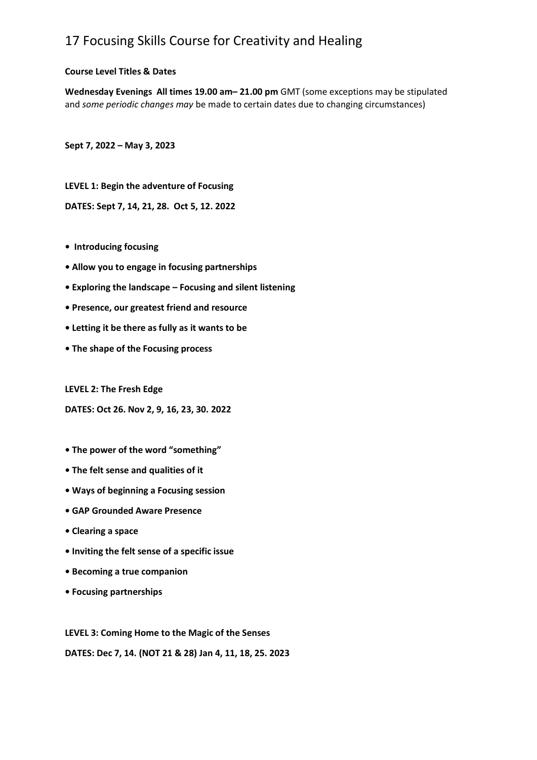# 17 Focusing Skills Course for Creativity and Healing

### **Course Level Titles & Dates**

**Wednesday Evenings All times 19.00 am– 21.00 pm** GMT (some exceptions may be stipulated and *some periodic changes may* be made to certain dates due to changing circumstances)

**Sept 7, 2022 – May 3, 2023**

**LEVEL 1: Begin the adventure of Focusing** 

**DATES: Sept 7, 14, 21, 28. Oct 5, 12. 2022**

- **Introducing focusing**
- **Allow you to engage in focusing partnerships**
- **Exploring the landscape – Focusing and silent listening**
- **Presence, our greatest friend and resource**
- **• Letting it be there as fully as it wants to be**
- **The shape of the Focusing process**

#### **LEVEL 2: The Fresh Edge**

#### **DATES: Oct 26. Nov 2, 9, 16, 23, 30. 2022**

- **The power of the word "something"**
- **The felt sense and qualities of it**
- **Ways of beginning a Focusing session**
- **GAP Grounded Aware Presence**
- **Clearing a space**
- **Inviting the felt sense of a specific issue**
- **Becoming a true companion**
- **Focusing partnerships**

**LEVEL 3: Coming Home to the Magic of the Senses DATES: Dec 7, 14. (NOT 21 & 28) Jan 4, 11, 18, 25. 2023**